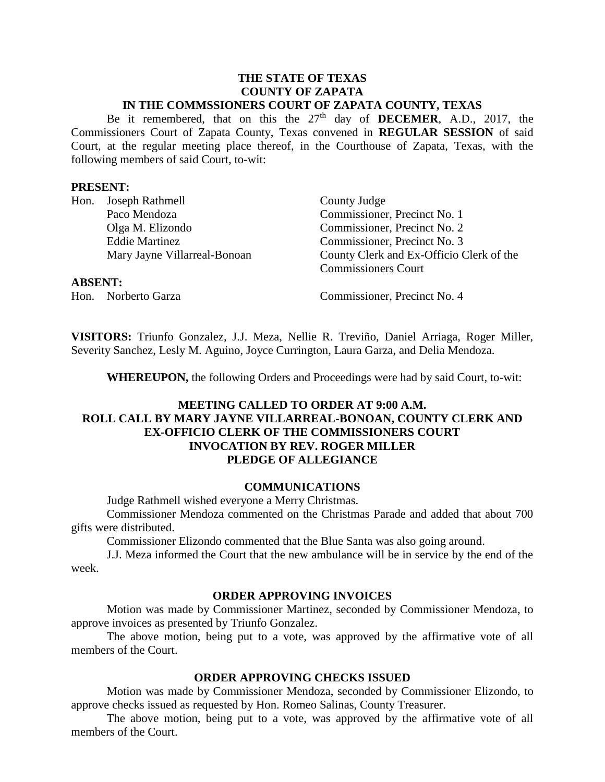#### **THE STATE OF TEXAS COUNTY OF ZAPATA IN THE COMMSSIONERS COURT OF ZAPATA COUNTY, TEXAS**

Be it remembered, that on this the  $27<sup>th</sup>$  day of **DECEMER**, A.D., 2017, the Commissioners Court of Zapata County, Texas convened in **REGULAR SESSION** of said Court, at the regular meeting place thereof, in the Courthouse of Zapata, Texas, with the following members of said Court, to-wit:

#### **PRESENT:**

|                | Hon. Joseph Rathmell         | County Judge                             |
|----------------|------------------------------|------------------------------------------|
|                | Paco Mendoza                 | Commissioner, Precinct No. 1             |
|                | Olga M. Elizondo             | Commissioner, Precinct No. 2             |
|                | <b>Eddie Martinez</b>        | Commissioner, Precinct No. 3             |
|                | Mary Jayne Villarreal-Bonoan | County Clerk and Ex-Officio Clerk of the |
|                |                              | <b>Commissioners Court</b>               |
| <b>ABSENT:</b> |                              |                                          |

Hon. Norberto Garza Commissioner, Precinct No. 4

**VISITORS:** Triunfo Gonzalez, J.J. Meza, Nellie R. Treviño, Daniel Arriaga, Roger Miller, Severity Sanchez, Lesly M. Aguino, Joyce Currington, Laura Garza, and Delia Mendoza.

**WHEREUPON,** the following Orders and Proceedings were had by said Court, to-wit:

# **MEETING CALLED TO ORDER AT 9:00 A.M. ROLL CALL BY MARY JAYNE VILLARREAL-BONOAN, COUNTY CLERK AND EX-OFFICIO CLERK OF THE COMMISSIONERS COURT INVOCATION BY REV. ROGER MILLER PLEDGE OF ALLEGIANCE**

### **COMMUNICATIONS**

Judge Rathmell wished everyone a Merry Christmas.

Commissioner Mendoza commented on the Christmas Parade and added that about 700 gifts were distributed.

Commissioner Elizondo commented that the Blue Santa was also going around.

J.J. Meza informed the Court that the new ambulance will be in service by the end of the week.

#### **ORDER APPROVING INVOICES**

Motion was made by Commissioner Martinez, seconded by Commissioner Mendoza, to approve invoices as presented by Triunfo Gonzalez.

The above motion, being put to a vote, was approved by the affirmative vote of all members of the Court.

### **ORDER APPROVING CHECKS ISSUED**

Motion was made by Commissioner Mendoza, seconded by Commissioner Elizondo, to approve checks issued as requested by Hon. Romeo Salinas, County Treasurer.

The above motion, being put to a vote, was approved by the affirmative vote of all members of the Court.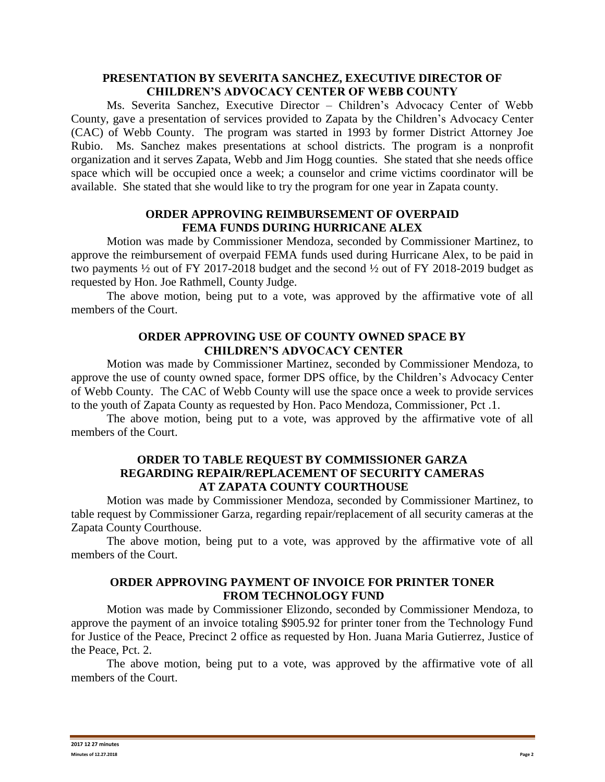## **PRESENTATION BY SEVERITA SANCHEZ, EXECUTIVE DIRECTOR OF CHILDREN'S ADVOCACY CENTER OF WEBB COUNTY**

Ms. Severita Sanchez, Executive Director – Children's Advocacy Center of Webb County, gave a presentation of services provided to Zapata by the Children's Advocacy Center (CAC) of Webb County. The program was started in 1993 by former District Attorney Joe Rubio. Ms. Sanchez makes presentations at school districts. The program is a nonprofit organization and it serves Zapata, Webb and Jim Hogg counties. She stated that she needs office space which will be occupied once a week; a counselor and crime victims coordinator will be available. She stated that she would like to try the program for one year in Zapata county.

## **ORDER APPROVING REIMBURSEMENT OF OVERPAID FEMA FUNDS DURING HURRICANE ALEX**

Motion was made by Commissioner Mendoza, seconded by Commissioner Martinez, to approve the reimbursement of overpaid FEMA funds used during Hurricane Alex, to be paid in two payments ½ out of FY 2017-2018 budget and the second ½ out of FY 2018-2019 budget as requested by Hon. Joe Rathmell, County Judge.

The above motion, being put to a vote, was approved by the affirmative vote of all members of the Court.

# **ORDER APPROVING USE OF COUNTY OWNED SPACE BY CHILDREN'S ADVOCACY CENTER**

Motion was made by Commissioner Martinez, seconded by Commissioner Mendoza, to approve the use of county owned space, former DPS office, by the Children's Advocacy Center of Webb County. The CAC of Webb County will use the space once a week to provide services to the youth of Zapata County as requested by Hon. Paco Mendoza, Commissioner, Pct .1.

The above motion, being put to a vote, was approved by the affirmative vote of all members of the Court.

#### **ORDER TO TABLE REQUEST BY COMMISSIONER GARZA REGARDING REPAIR/REPLACEMENT OF SECURITY CAMERAS AT ZAPATA COUNTY COURTHOUSE**

Motion was made by Commissioner Mendoza, seconded by Commissioner Martinez, to table request by Commissioner Garza, regarding repair/replacement of all security cameras at the Zapata County Courthouse.

The above motion, being put to a vote, was approved by the affirmative vote of all members of the Court.

# **ORDER APPROVING PAYMENT OF INVOICE FOR PRINTER TONER FROM TECHNOLOGY FUND**

Motion was made by Commissioner Elizondo, seconded by Commissioner Mendoza, to approve the payment of an invoice totaling \$905.92 for printer toner from the Technology Fund for Justice of the Peace, Precinct 2 office as requested by Hon. Juana Maria Gutierrez, Justice of the Peace, Pct. 2.

The above motion, being put to a vote, was approved by the affirmative vote of all members of the Court.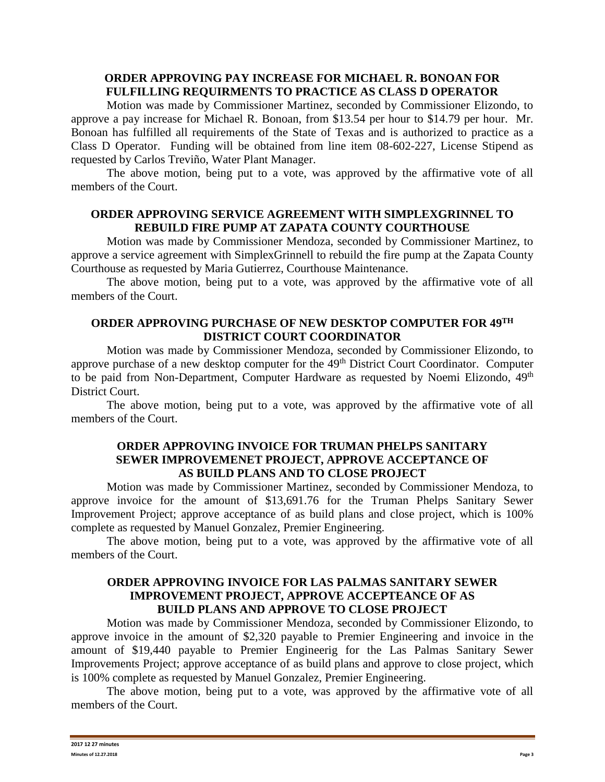# **ORDER APPROVING PAY INCREASE FOR MICHAEL R. BONOAN FOR FULFILLING REQUIRMENTS TO PRACTICE AS CLASS D OPERATOR**

Motion was made by Commissioner Martinez, seconded by Commissioner Elizondo, to approve a pay increase for Michael R. Bonoan, from \$13.54 per hour to \$14.79 per hour. Mr. Bonoan has fulfilled all requirements of the State of Texas and is authorized to practice as a Class D Operator. Funding will be obtained from line item 08-602-227, License Stipend as requested by Carlos Treviño, Water Plant Manager.

The above motion, being put to a vote, was approved by the affirmative vote of all members of the Court.

## **ORDER APPROVING SERVICE AGREEMENT WITH SIMPLEXGRINNEL TO REBUILD FIRE PUMP AT ZAPATA COUNTY COURTHOUSE**

Motion was made by Commissioner Mendoza, seconded by Commissioner Martinez, to approve a service agreement with SimplexGrinnell to rebuild the fire pump at the Zapata County Courthouse as requested by Maria Gutierrez, Courthouse Maintenance.

The above motion, being put to a vote, was approved by the affirmative vote of all members of the Court.

# **ORDER APPROVING PURCHASE OF NEW DESKTOP COMPUTER FOR 49 TH DISTRICT COURT COORDINATOR**

Motion was made by Commissioner Mendoza, seconded by Commissioner Elizondo, to approve purchase of a new desktop computer for the 49<sup>th</sup> District Court Coordinator. Computer to be paid from Non-Department, Computer Hardware as requested by Noemi Elizondo, 49<sup>th</sup> District Court.

The above motion, being put to a vote, was approved by the affirmative vote of all members of the Court.

### **ORDER APPROVING INVOICE FOR TRUMAN PHELPS SANITARY SEWER IMPROVEMENET PROJECT, APPROVE ACCEPTANCE OF AS BUILD PLANS AND TO CLOSE PROJECT**

Motion was made by Commissioner Martinez, seconded by Commissioner Mendoza, to approve invoice for the amount of \$13,691.76 for the Truman Phelps Sanitary Sewer Improvement Project; approve acceptance of as build plans and close project, which is 100% complete as requested by Manuel Gonzalez, Premier Engineering.

The above motion, being put to a vote, was approved by the affirmative vote of all members of the Court.

### **ORDER APPROVING INVOICE FOR LAS PALMAS SANITARY SEWER IMPROVEMENT PROJECT, APPROVE ACCEPTEANCE OF AS BUILD PLANS AND APPROVE TO CLOSE PROJECT**

Motion was made by Commissioner Mendoza, seconded by Commissioner Elizondo, to approve invoice in the amount of \$2,320 payable to Premier Engineering and invoice in the amount of \$19,440 payable to Premier Engineerig for the Las Palmas Sanitary Sewer Improvements Project; approve acceptance of as build plans and approve to close project, which is 100% complete as requested by Manuel Gonzalez, Premier Engineering.

The above motion, being put to a vote, was approved by the affirmative vote of all members of the Court.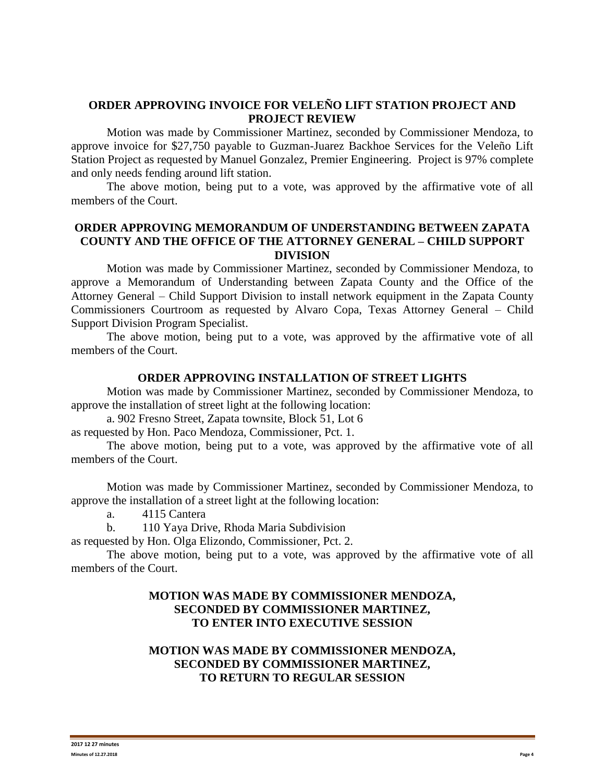### **ORDER APPROVING INVOICE FOR VELEÑO LIFT STATION PROJECT AND PROJECT REVIEW**

Motion was made by Commissioner Martinez, seconded by Commissioner Mendoza, to approve invoice for \$27,750 payable to Guzman-Juarez Backhoe Services for the Veleño Lift Station Project as requested by Manuel Gonzalez, Premier Engineering. Project is 97% complete and only needs fending around lift station.

The above motion, being put to a vote, was approved by the affirmative vote of all members of the Court.

## **ORDER APPROVING MEMORANDUM OF UNDERSTANDING BETWEEN ZAPATA COUNTY AND THE OFFICE OF THE ATTORNEY GENERAL – CHILD SUPPORT DIVISION**

Motion was made by Commissioner Martinez, seconded by Commissioner Mendoza, to approve a Memorandum of Understanding between Zapata County and the Office of the Attorney General – Child Support Division to install network equipment in the Zapata County Commissioners Courtroom as requested by Alvaro Copa, Texas Attorney General – Child Support Division Program Specialist.

The above motion, being put to a vote, was approved by the affirmative vote of all members of the Court.

#### **ORDER APPROVING INSTALLATION OF STREET LIGHTS**

Motion was made by Commissioner Martinez, seconded by Commissioner Mendoza, to approve the installation of street light at the following location:

a. 902 Fresno Street, Zapata townsite, Block 51, Lot 6

as requested by Hon. Paco Mendoza, Commissioner, Pct. 1.

The above motion, being put to a vote, was approved by the affirmative vote of all members of the Court.

Motion was made by Commissioner Martinez, seconded by Commissioner Mendoza, to approve the installation of a street light at the following location:

a. 4115 Cantera

b. 110 Yaya Drive, Rhoda Maria Subdivision

as requested by Hon. Olga Elizondo, Commissioner, Pct. 2.

The above motion, being put to a vote, was approved by the affirmative vote of all members of the Court.

# **MOTION WAS MADE BY COMMISSIONER MENDOZA, SECONDED BY COMMISSIONER MARTINEZ, TO ENTER INTO EXECUTIVE SESSION**

# **MOTION WAS MADE BY COMMISSIONER MENDOZA, SECONDED BY COMMISSIONER MARTINEZ, TO RETURN TO REGULAR SESSION**